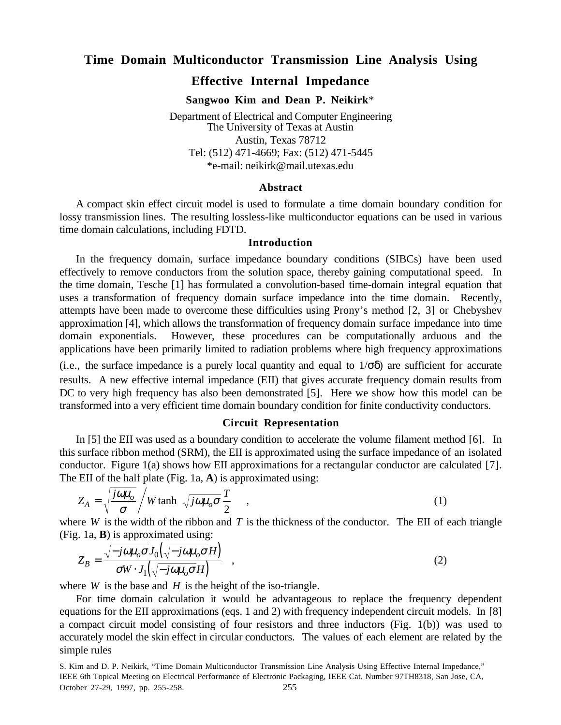# **Time Domain Multiconductor Transmission Line Analysis Using**

# **Effective Internal Impedance**

**Sangwoo Kim and Dean P. Neikirk**\*

Department of Electrical and Computer Engineering The University of Texas at Austin Austin, Texas 78712 Tel: (512) 471-4669; Fax: (512) 471-5445 \*e-mail: neikirk@mail.utexas.edu

### **Abstract**

A compact skin effect circuit model is used to formulate a time domain boundary condition for lossy transmission lines. The resulting lossless-like multiconductor equations can be used in various time domain calculations, including FDTD.

## **Introduction**

In the frequency domain, surface impedance boundary conditions (SIBCs) have been used effectively to remove conductors from the solution space, thereby gaining computational speed. In the time domain, Tesche [1] has formulated a convolution-based time-domain integral equation that uses a transformation of frequency domain surface impedance into the time domain. Recently, attempts have been made to overcome these difficulties using Prony's method [2, 3] or Chebyshev approximation [4], which allows the transformation of frequency domain surface impedance into time domain exponentials. However, these procedures can be computationally arduous and the applications have been primarily limited to radiation problems where high frequency approximations

(i.e., the surface impedance is a purely local quantity and equal to  $1/\sigma\delta$ ) are sufficient for accurate results. A new effective internal impedance (EII) that gives accurate frequency domain results from DC to very high frequency has also been demonstrated [5]. Here we show how this model can be transformed into a very efficient time domain boundary condition for finite conductivity conductors.

# **Circuit Representation**

In [5] the EII was used as a boundary condition to accelerate the volume filament method [6]. In this surface ribbon method (SRM), the EII is approximated using the surface impedance of an isolated conductor. Figure 1(a) shows how EII approximations for a rectangular conductor are calculated [7]. The EII of the half plate (Fig. 1a, **A**) is approximated using:

$$
Z_A = \sqrt{\frac{j\omega\mu_o}{\sigma}} / W \tanh\left(\sqrt{j\omega\mu_o \sigma} \frac{T}{2}\right) , \qquad (1)
$$

where *W* is the width of the ribbon and *T* is the thickness of the conductor. The EII of each triangle (Fig. 1a, **B**) is approximated using:

$$
Z_B = \frac{\sqrt{-j\omega\mu_o \sigma J_0(\sqrt{-j\omega\mu_o \sigma H})}}{\sigma W \cdot J_1(\sqrt{-j\omega\mu_o \sigma H})} , \qquad (2)
$$

where  $W$  is the base and  $H$  is the height of the iso-triangle.

For time domain calculation it would be advantageous to replace the frequency dependent equations for the EII approximations (eqs. 1 and 2) with frequency independent circuit models. In [8] a compact circuit model consisting of four resistors and three inductors (Fig. 1(b)) was used to accurately model the skin effect in circular conductors. The values of each element are related by the simple rules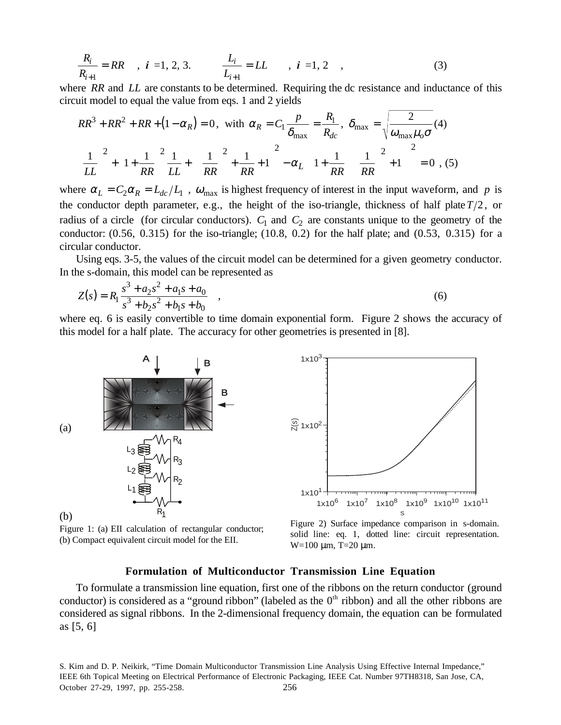$$
\frac{R_i}{R_{i+1}} = RR \t , i = 1, 2, 3. \t \frac{L_i}{L_{i+1}} = LL \t , i = 1, 2 \t , \t (3)
$$

where *RR* and *LL* are constants to be determined. Requiring the dc resistance and inductance of this circuit model to equal the value from eqs. 1 and 2 yields

$$
RR^{3} + RR^{2} + RR + (1 - \alpha_{R}) = 0, \text{ with } \alpha_{R} = C_{1} \frac{p}{\delta_{\text{max}}} = \frac{R_{1}}{R_{dc}}, \delta_{\text{max}} = \sqrt{\frac{2}{\omega_{\text{max}} \mu_{o} \sigma}} (4)
$$

$$
\left(\frac{1}{LL}\right)^{2} + \left(1 + \frac{1}{RR}\right)^{2} \frac{1}{LL} + \left(\left[\frac{1}{RR}\right]^{2} + \frac{1}{RR} + 1\right)^{2} - \alpha_{L} \left(\left[1 + \frac{1}{RR}\right] \left\{\frac{1}{RR}\right\}^{2} + 1\right] \right)^{2} = 0, (5)
$$

where  $\alpha_L = C_2 \alpha_R = L_{dc}/L_1$ ,  $\omega_{\text{max}}$  is highest frequency of interest in the input waveform, and *p* is the conductor depth parameter, e.g., the height of the iso-triangle, thickness of half plate  $T/2$ , or radius of a circle (for circular conductors).  $C_1$  and  $C_2$  are constants unique to the geometry of the conductor:  $(0.56, 0.315)$  for the iso-triangle;  $(10.8, 0.2)$  for the half plate; and  $(0.53, 0.315)$  for a circular conductor.

Using eqs. 3-5, the values of the circuit model can be determined for a given geometry conductor. In the s-domain, this model can be represented as

$$
Z(s) = R_1 \frac{s^3 + a_2 s^2 + a_1 s + a_0}{s^3 + b_2 s^2 + b_1 s + b_0} \quad ,
$$
\n
$$
(6)
$$

where eq. 6 is easily convertible to time domain exponential form. Figure 2 shows the accuracy of this model for a half plate. The accuracy for other geometries is presented in [8].



Figure 1: (a) EII calculation of rectangular conductor; (b) Compact equivalent circuit model for the EII.



Figure 2) Surface impedance comparison in s-domain. solid line: eq. 1, dotted line: circuit representation.  $W=100 \mu m$ , T=20  $\mu m$ .

# **Formulation of Multiconductor Transmission Line Equation**

To formulate a transmission line equation, first one of the ribbons on the return conductor (ground conductor) is considered as a "ground ribbon" (labeled as the  $0<sup>th</sup>$  ribbon) and all the other ribbons are considered as signal ribbons. In the 2-dimensional frequency domain, the equation can be formulated as [5, 6]

S. Kim and D. P. Neikirk, "Time Domain Multiconductor Transmission Line Analysis Using Effective Internal Impedance," IEEE 6th Topical Meeting on Electrical Performance of Electronic Packaging, IEEE Cat. Number 97TH8318, San Jose, CA, October 27-29, 1997, pp. 255-258. 256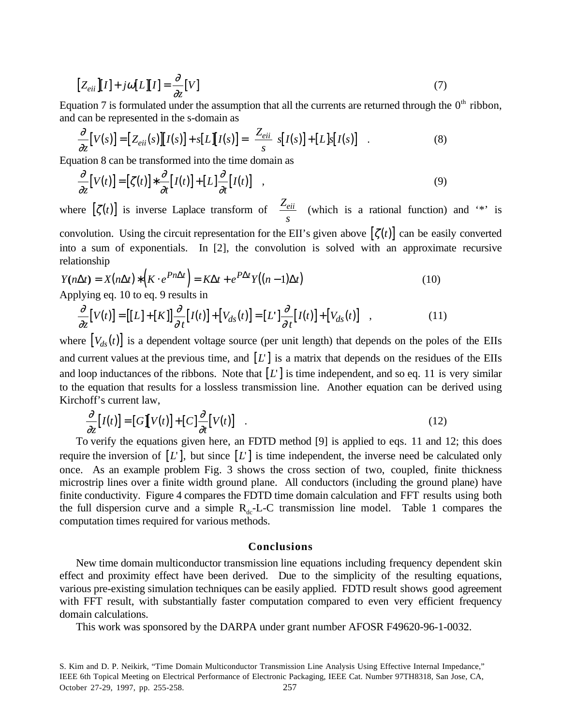$$
[Z_{eii}][I] + j\omega[L][I] = \frac{\partial}{\partial z}[V]
$$
\n(7)

Equation 7 is formulated under the assumption that all the currents are returned through the  $0<sup>th</sup>$  ribbon, and can be represented in the s-domain as

$$
\frac{\partial}{\partial z}[V(s)] = [Z_{eii}(s)][I(s)] + s[L][I(s)] = \left[\frac{Z_{eii}}{s}\right]s[I(s)] + [L]s[I(s)] \quad . \tag{8}
$$

Equation 8 can be transformed into the time domain as

$$
\frac{\partial}{\partial z}[V(t)] = [\zeta(t)] * \frac{\partial}{\partial t}[I(t)] + [L] \frac{\partial}{\partial t}[I(t)] \quad , \tag{9}
$$

where  $[\zeta(t)]$  is inverse Laplace transform of  $\begin{bmatrix} Z \end{bmatrix}$ *s*  $Z_{eii}$  $\left[\frac{Z_{eii}}{s}\right]$  (which is a rational function) and '\*' is convolution. Using the circuit representation for the EII's given above  $[\zeta(t)]$  can be easily converted into a sum of exponentials. In [2], the convolution is solved with an approximate recursive relationship

$$
Y(n\Delta t) = X(n\Delta t) * (K \cdot e^{Pn\Delta t}) = K\Delta t + e^{P\Delta t} Y((n-1)\Delta t)
$$
\nApplying eq. 10 to eq. 9 results in

Applying eq. 10 to eq. 9 results in

$$
\frac{\partial}{\partial z}[V(t)] = [[L] + [K]] \frac{\partial}{\partial t}[I(t)] + [V_{ds}(t)] = [L'] \frac{\partial}{\partial t}[I(t)] + [V_{ds}(t)] \quad , \tag{11}
$$

where  $[V_{ds}(t)]$  is a dependent voltage source (per unit length) that depends on the poles of the EIIs and current values at the previous time, and  $[L]$  is a matrix that depends on the residues of the EIIs and loop inductances of the ribbons. Note that  $[L]$  is time independent, and so eq. 11 is very similar to the equation that results for a lossless transmission line. Another equation can be derived using Kirchoff's current law,

$$
\frac{\partial}{\partial z}[I(t)] = [G][V(t)] + [C]\frac{\partial}{\partial t}[V(t)] \quad . \tag{12}
$$

To verify the equations given here, an FDTD method [9] is applied to eqs. 11 and 12; this does require the inversion of  $[L]$ , but since  $[L]$  is time independent, the inverse need be calculated only once. As an example problem Fig. 3 shows the cross section of two, coupled, finite thickness microstrip lines over a finite width ground plane. All conductors (including the ground plane) have finite conductivity. Figure 4 compares the FDTD time domain calculation and FFT results using both the full dispersion curve and a simple  $R_{dc}$ -L-C transmission line model. Table 1 compares the computation times required for various methods.

#### **Conclusions**

New time domain multiconductor transmission line equations including frequency dependent skin effect and proximity effect have been derived. Due to the simplicity of the resulting equations, various pre-existing simulation techniques can be easily applied. FDTD result shows good agreement with FFT result, with substantially faster computation compared to even very efficient frequency domain calculations.

This work was sponsored by the DARPA under grant number AFOSR F49620-96-1-0032.

S. Kim and D. P. Neikirk, "Time Domain Multiconductor Transmission Line Analysis Using Effective Internal Impedance," IEEE 6th Topical Meeting on Electrical Performance of Electronic Packaging, IEEE Cat. Number 97TH8318, San Jose, CA, October 27-29, 1997, pp. 255-258. 257